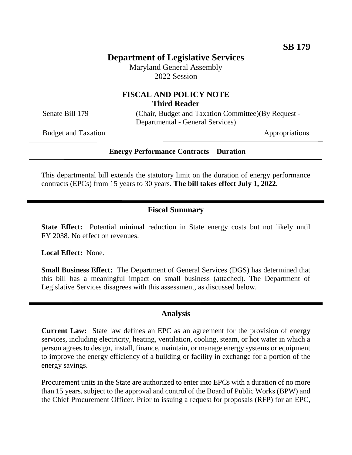# **Department of Legislative Services**

Maryland General Assembly 2022 Session

## **FISCAL AND POLICY NOTE Third Reader**

Senate Bill 179 (Chair, Budget and Taxation Committee)(By Request -Departmental - General Services)

Budget and Taxation Appropriations

#### **Energy Performance Contracts – Duration**

This departmental bill extends the statutory limit on the duration of energy performance contracts (EPCs) from 15 years to 30 years. **The bill takes effect July 1, 2022.**

## **Fiscal Summary**

**State Effect:** Potential minimal reduction in State energy costs but not likely until FY 2038. No effect on revenues.

**Local Effect:** None.

**Small Business Effect:** The Department of General Services (DGS) has determined that this bill has a meaningful impact on small business (attached). The Department of Legislative Services disagrees with this assessment, as discussed below.

### **Analysis**

**Current Law:** State law defines an EPC as an agreement for the provision of energy services, including electricity, heating, ventilation, cooling, steam, or hot water in which a person agrees to design, install, finance, maintain, or manage energy systems or equipment to improve the energy efficiency of a building or facility in exchange for a portion of the energy savings.

Procurement units in the State are authorized to enter into EPCs with a duration of no more than 15 years, subject to the approval and control of the Board of Public Works (BPW) and the Chief Procurement Officer. Prior to issuing a request for proposals (RFP) for an EPC,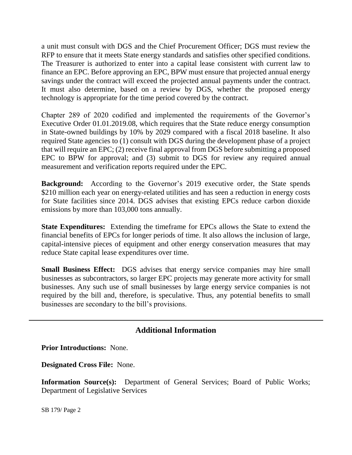a unit must consult with DGS and the Chief Procurement Officer; DGS must review the RFP to ensure that it meets State energy standards and satisfies other specified conditions. The Treasurer is authorized to enter into a capital lease consistent with current law to finance an EPC. Before approving an EPC, BPW must ensure that projected annual energy savings under the contract will exceed the projected annual payments under the contract. It must also determine, based on a review by DGS, whether the proposed energy technology is appropriate for the time period covered by the contract.

Chapter 289 of 2020 codified and implemented the requirements of the Governor's Executive Order 01.01.2019.08, which requires that the State reduce energy consumption in State-owned buildings by 10% by 2029 compared with a fiscal 2018 baseline. It also required State agencies to (1) consult with DGS during the development phase of a project that will require an EPC; (2) receive final approval from DGS before submitting a proposed EPC to BPW for approval; and (3) submit to DGS for review any required annual measurement and verification reports required under the EPC.

**Background:** According to the Governor's 2019 executive order, the State spends \$210 million each year on energy-related utilities and has seen a reduction in energy costs for State facilities since 2014. DGS advises that existing EPCs reduce carbon dioxide emissions by more than 103,000 tons annually.

**State Expenditures:** Extending the timeframe for EPCs allows the State to extend the financial benefits of EPCs for longer periods of time. It also allows the inclusion of large, capital-intensive pieces of equipment and other energy conservation measures that may reduce State capital lease expenditures over time.

**Small Business Effect:** DGS advises that energy service companies may hire small businesses as subcontractors, so larger EPC projects may generate more activity for small businesses. Any such use of small businesses by large energy service companies is not required by the bill and, therefore, is speculative. Thus, any potential benefits to small businesses are secondary to the bill's provisions.

## **Additional Information**

**Prior Introductions:** None.

**Designated Cross File:** None.

**Information Source(s):** Department of General Services; Board of Public Works; Department of Legislative Services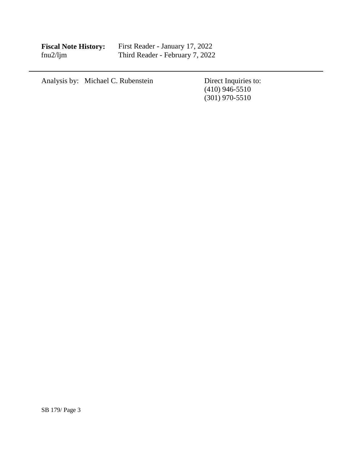| <b>Fiscal Note History:</b> |  |
|-----------------------------|--|
| fnu2/lim                    |  |

**Fiscal Note History:** First Reader - January 17, 2022 fnu2/ljm Third Reader - February 7, 2022

| Analysis by: Michael C. Rubenstein | Direct Inquiries to: |
|------------------------------------|----------------------|
|                                    | $(410)$ 946-5510     |
|                                    | $(301)$ 970-5510     |
|                                    |                      |